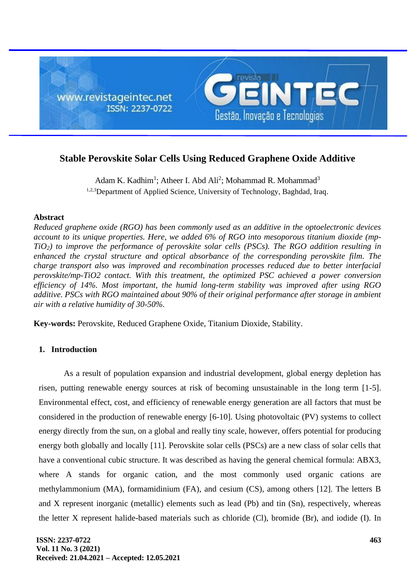

# **Stable Perovskite Solar Cells Using Reduced Graphene Oxide Additive**

Adam K. Kadhim<sup>1</sup>; Atheer I. Abd Ali<sup>2</sup>; Mohammad R. Mohammad<sup>3</sup> <sup>1,2,3</sup>Department of Applied Science, University of Technology, Baghdad, Iraq.

## **Abstract**

*Reduced graphene oxide (RGO) has been commonly used as an additive in the optoelectronic devices account to its unique properties. Here, we added 6% of RGO into mesoporous titanium dioxide (mp-TiO2) to improve the performance of perovskite solar cells (PSCs). The RGO addition resulting in enhanced the crystal structure and optical absorbance of the corresponding perovskite film. The charge transport also was improved and recombination processes reduced due to better interfacial perovskite/mp-TiO2 contact. With this treatment, the optimized PSC achieved a power conversion efficiency of 14%. Most important, the humid long-term stability was improved after using RGO additive. PSCs with RGO maintained about 90% of their original performance after storage in ambient air with a relative humidity of 30-50%.*

**Key-words:** Perovskite, Reduced Graphene Oxide, Titanium Dioxide, Stability.

# **1. Introduction**

As a result of population expansion and industrial development, global energy depletion has risen, putting renewable energy sources at risk of becoming unsustainable in the long term [1-5]. Environmental effect, cost, and efficiency of renewable energy generation are all factors that must be considered in the production of renewable energy [6-10]. Using photovoltaic (PV) systems to collect energy directly from the sun, on a global and really tiny scale, however, offers potential for producing energy both globally and locally [11]. Perovskite solar cells (PSCs) are a new class of solar cells that have a conventional cubic structure. It was described as having the general chemical formula: ABX3, where A stands for organic cation, and the most commonly used organic cations are methylammonium (MA), formamidinium (FA), and cesium (CS), among others [12]. The letters B and X represent inorganic (metallic) elements such as lead (Pb) and tin (Sn), respectively, whereas the letter X represent halide-based materials such as chloride (Cl), bromide (Br), and iodide (I). In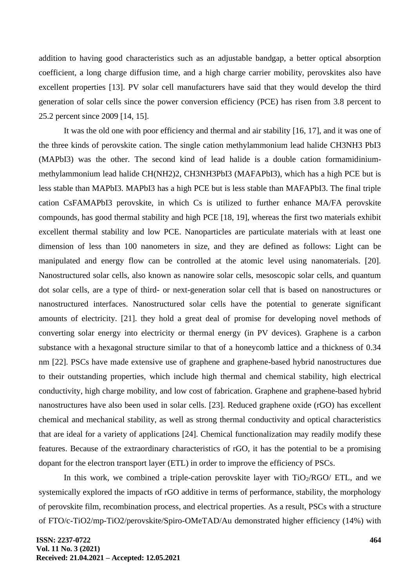addition to having good characteristics such as an adjustable bandgap, a better optical absorption coefficient, a long charge diffusion time, and a high charge carrier mobility, perovskites also have excellent properties [13]. PV solar cell manufacturers have said that they would develop the third generation of solar cells since the power conversion efficiency (PCE) has risen from 3.8 percent to 25.2 percent since 2009 [14, 15].

It was the old one with poor efficiency and thermal and air stability [16, 17], and it was one of the three kinds of perovskite cation. The single cation methylammonium lead halide CH3NH3 PbI3 (MAPbI3) was the other. The second kind of lead halide is a double cation formamidiniummethylammonium lead halide CH(NH2)2, CH3NH3PbI3 (MAFAPbI3), which has a high PCE but is less stable than MAPbI3. MAPbI3 has a high PCE but is less stable than MAFAPbI3. The final triple cation CsFAMAPbI3 perovskite, in which Cs is utilized to further enhance MA/FA perovskite compounds, has good thermal stability and high PCE [18, 19], whereas the first two materials exhibit excellent thermal stability and low PCE. Nanoparticles are particulate materials with at least one dimension of less than 100 nanometers in size, and they are defined as follows: Light can be manipulated and energy flow can be controlled at the atomic level using nanomaterials. [20]. Nanostructured solar cells, also known as nanowire solar cells, mesoscopic solar cells, and quantum dot solar cells, are a type of third- or next-generation solar cell that is based on nanostructures or nanostructured interfaces. Nanostructured solar cells have the potential to generate significant amounts of electricity. [21]. they hold a great deal of promise for developing novel methods of converting solar energy into electricity or thermal energy (in PV devices). Graphene is a carbon substance with a hexagonal structure similar to that of a honeycomb lattice and a thickness of 0.34 nm [22]. PSCs have made extensive use of graphene and graphene-based hybrid nanostructures due to their outstanding properties, which include high thermal and chemical stability, high electrical conductivity, high charge mobility, and low cost of fabrication. Graphene and graphene-based hybrid nanostructures have also been used in solar cells. [23]. Reduced graphene oxide (rGO) has excellent chemical and mechanical stability, as well as strong thermal conductivity and optical characteristics that are ideal for a variety of applications [24]. Chemical functionalization may readily modify these features. Because of the extraordinary characteristics of rGO, it has the potential to be a promising dopant for the electron transport layer (ETL) in order to improve the efficiency of PSCs.

In this work, we combined a triple-cation perovskite layer with  $TiO<sub>2</sub>/RGO/ ETL$ , and we systemically explored the impacts of rGO additive in terms of performance, stability, the morphology of perovskite film, recombination process, and electrical properties. As a result, PSCs with a structure of FTO/c-TiO2/mp-TiO2/perovskite/Spiro-OMeTAD/Au demonstrated higher efficiency (14%) with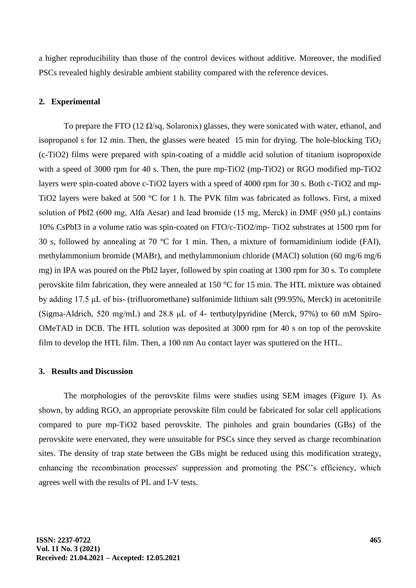a higher reproducibility than those of the control devices without additive. Moreover, the modified PSCs revealed highly desirable ambient stability compared with the reference devices.

#### **2. Experimental**

To prepare the FTO (12  $\Omega$ /sq, Solaronix) glasses, they were sonicated with water, ethanol, and isopropanol s for 12 min. Then, the glasses were heated 15 min for drying. The hole-blocking  $TiO<sub>2</sub>$ (c-TiO2) films were prepared with spin-coating of a middle acid solution of titanium isopropoxide with a speed of 3000 rpm for 40 s. Then, the pure mp-TiO2 (mp-TiO2) or RGO modified mp-TiO2 layers were spin-coated above c-TiO2 layers with a speed of 4000 rpm for 30 s. Both c-TiO2 and mp-TiO2 layers were baked at 500 °C for 1 h. The PVK film was fabricated as follows. First, a mixed solution of PbI2 (600 mg, Alfa Aesar) and lead bromide (15 mg, Merck) in DMF (950 μL) contains 10% CsPbI3 in a volume ratio was spin-coated on FTO/c-TiO2/mp- TiO2 substrates at 1500 rpm for 30 s, followed by annealing at 70  $\degree$ C for 1 min. Then, a mixture of formamidinium iodide (FAI), methylammonium bromide (MABr), and methylammonium chloride (MACl) solution (60 mg/6 mg/6 mg) in IPA was poured on the PbI2 layer, followed by spin coating at 1300 rpm for 30 s. To complete perovskite film fabrication, they were annealed at 150 °C for 15 min. The HTL mixture was obtained by adding 17.5 μL of bis- (trifluoromethane) sulfonimide lithium salt (99.95%, Merck) in acetonitrile (Sigma-Aldrich, 520 mg/mL) and 28.8 μL of 4- tertbutylpyridine (Merck, 97%) to 60 mM Spiro-OMeTAD in DCB. The HTL solution was deposited at 3000 rpm for 40 s on top of the perovskite film to develop the HTL film. Then, a 100 nm Au contact layer was sputtered on the HTL.

### **3. Results and Discussion**

The morphologies of the perovskite films were studies using SEM images (Figure 1). As shown, by adding RGO, an appropriate perovskite film could be fabricated for solar cell applications compared to pure mp-TiO2 based perovskite. The pinholes and grain boundaries (GBs) of the perovskite were enervated, they were unsuitable for PSCs since they served as charge recombination sites. The density of trap state between the GBs might be reduced using this modification strategy, enhancing the recombination processes' suppression and promoting the PSC's efficiency, which agrees well with the results of PL and I-V tests.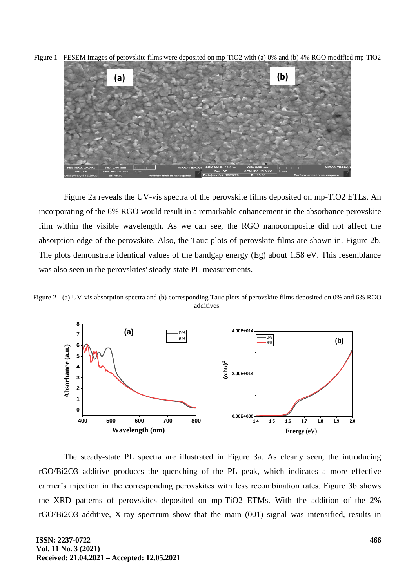Figure 1 - FESEM images of perovskite films were deposited on mp-TiO2 with (a) 0% and (b) 4% RGO modified mp-TiO2



Figure 2a reveals the UV-vis spectra of the perovskite films deposited on mp-TiO2 ETLs. An incorporating of the 6% RGO would result in a remarkable enhancement in the absorbance perovskite film within the visible wavelength. As we can see, the RGO nanocomposite did not affect the absorption edge of the perovskite. Also, the Tauc plots of perovskite films are shown in. Figure 2b. The plots demonstrate identical values of the bandgap energy (Eg) about 1.58 eV. This resemblance was also seen in the perovskites' steady-state PL measurements.

Figure 2 - (a) UV-vis absorption spectra and (b) corresponding Tauc plots of perovskite films deposited on 0% and 6% RGO additives.



The steady-state PL spectra are illustrated in Figure 3a. As clearly seen, the introducing rGO/Bi2O3 additive produces the quenching of the PL peak, which indicates a more effective carrier's injection in the corresponding perovskites with less recombination rates. Figure 3b shows the XRD patterns of perovskites deposited on mp-TiO2 ETMs. With the addition of the 2% rGO/Bi2O3 additive, X-ray spectrum show that the main (001) signal was intensified, results in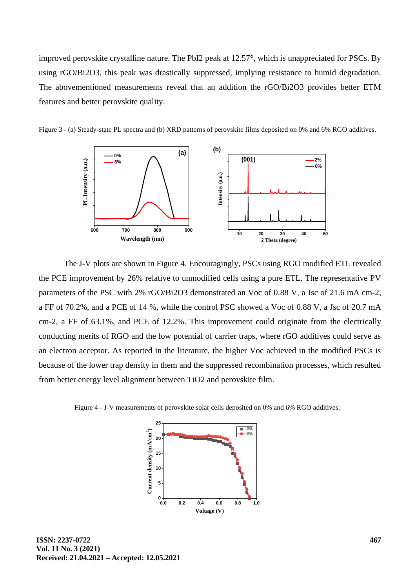improved perovskite crystalline nature. The PbI2 peak at 12.57°, which is unappreciated for PSCs. By using rGO/Bi2O3, this peak was drastically suppressed, implying resistance to humid degradation. The abovementioned measurements reveal that an addition the rGO/Bi2O3 provides better ETM features and better perovskite quality.





The J-V plots are shown in Figure 4. Encouragingly, PSCs using RGO modified ETL revealed the PCE improvement by 26% relative to unmodified cells using a pure ETL. The representative PV parameters of the PSC with 2% rGO/Bi2O3 demonstrated an Voc of 0.88 V, a Jsc of 21.6 mA cm-2, a FF of 70.2%, and a PCE of 14 %, while the control PSC showed a Voc of 0.88 V, a Jsc of 20.7 mA cm-2, a FF of 63.1%, and PCE of 12.2%. This improvement could originate from the electrically conducting merits of RGO and the low potential of carrier traps, where rGO additives could serve as an electron acceptor. As reported in the literature, the higher Voc achieved in the modified PSCs is because of the lower trap density in them and the suppressed recombination processes, which resulted from better energy level alignment between TiO2 and perovskite film.

Figure 4 - J-V measurements of perovskite solar cells deposited on 0% and 6% RGO additives.

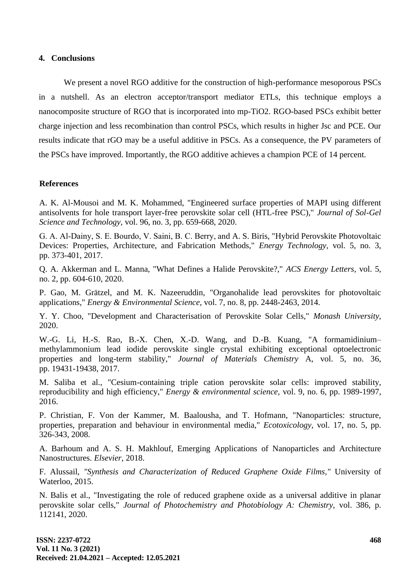#### **4. Conclusions**

We present a novel RGO additive for the construction of high-performance mesoporous PSCs in a nutshell. As an electron acceptor/transport mediator ETLs, this technique employs a nanocomposite structure of RGO that is incorporated into mp-TiO2. RGO-based PSCs exhibit better charge injection and less recombination than control PSCs, which results in higher Jsc and PCE. Our results indicate that rGO may be a useful additive in PSCs. As a consequence, the PV parameters of the PSCs have improved. Importantly, the RGO additive achieves a champion PCE of 14 percent.

#### **References**

A. K. Al-Mousoi and M. K. Mohammed, "Engineered surface properties of MAPI using different antisolvents for hole transport layer-free perovskite solar cell (HTL-free PSC)," *Journal of Sol-Gel Science and Technology,* vol. 96, no. 3, pp. 659-668, 2020.

G. A. Al‐Dainy, S. E. Bourdo, V. Saini, B. C. Berry, and A. S. Biris, "Hybrid Perovskite Photovoltaic Devices: Properties, Architecture, and Fabrication Methods," *Energy Technology,* vol. 5, no. 3, pp. 373-401, 2017.

Q. A. Akkerman and L. Manna, "What Defines a Halide Perovskite?," *ACS Energy Letters,* vol. 5, no. 2, pp. 604-610, 2020.

P. Gao, M. Grätzel, and M. K. Nazeeruddin, "Organohalide lead perovskites for photovoltaic applications," *Energy & Environmental Science,* vol. 7, no. 8, pp. 2448-2463, 2014.

Y. Y. Choo, "Development and Characterisation of Perovskite Solar Cells," *Monash University,* 2020.

W.-G. Li, H.-S. Rao, B.-X. Chen, X.-D. Wang, and D.-B. Kuang, "A formamidinium– methylammonium lead iodide perovskite single crystal exhibiting exceptional optoelectronic properties and long-term stability," *Journal of Materials Chemistry* A, vol. 5, no. 36, pp. 19431-19438, 2017.

M. Saliba et al., "Cesium-containing triple cation perovskite solar cells: improved stability, reproducibility and high efficiency," *Energy & environmental science,* vol. 9, no. 6, pp. 1989-1997, 2016.

P. Christian, F. Von der Kammer, M. Baalousha, and T. Hofmann, "Nanoparticles: structure, properties, preparation and behaviour in environmental media," *Ecotoxicology,* vol. 17, no. 5, pp. 326-343, 2008.

A. Barhoum and A. S. H. Makhlouf, Emerging Applications of Nanoparticles and Architecture Nanostructures. *Elsevier*, 2018.

F. Alussail, *"Synthesis and Characterization of Reduced Graphene Oxide Films,"* University of Waterloo, 2015.

N. Balis et al., "Investigating the role of reduced graphene oxide as a universal additive in planar perovskite solar cells," *Journal of Photochemistry and Photobiology A: Chemistry,* vol. 386, p. 112141, 2020.